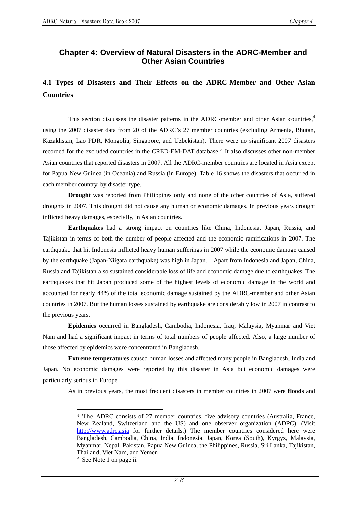### **Chapter 4: Overview of Natural Disasters in the ADRC-Member and Other Asian Countries**

# **4.1 Types of Disasters and Their Effects on the ADRC-Member and Other Asian Countries**

This section discusses the disaster patterns in the ADRC-member and other Asian countries,<sup>4</sup> using the 2007 disaster data from 20 of the ADRC's 27 member countries (excluding Armenia, Bhutan, Kazakhstan, Lao PDR, Mongolia, Singapore, and Uzbekistan). There were no significant 2007 disasters recorded for the excluded countries in the CRED-EM-DAT database.<sup>5</sup> It also discusses other non-member Asian countries that reported disasters in 2007. All the ADRC-member countries are located in Asia except for Papua New Guinea (in Oceania) and Russia (in Europe). Table 16 shows the disasters that occurred in each member country, by disaster type.

**Drought** was reported from Philippines only and none of the other countries of Asia, suffered droughts in 2007. This drought did not cause any human or economic damages. In previous years drought inflicted heavy damages, especially, in Asian countries.

**Earthquakes** had a strong impact on countries like China, Indonesia, Japan, Russia, and Tajikistan in terms of both the number of people affected and the economic ramifications in 2007. The earthquake that hit Indonesia inflicted heavy human sufferings in 2007 while the economic damage caused by the earthquake (Japan-Niigata earthquake) was high in Japan. Apart from Indonesia and Japan, China, Russia and Tajikistan also sustained considerable loss of life and economic damage due to earthquakes. The earthquakes that hit Japan produced some of the highest levels of economic damage in the world and accounted for nearly 44% of the total economic damage sustained by the ADRC-member and other Asian countries in 2007. But the human losses sustained by earthquake are considerably low in 2007 in contrast to the previous years.

**Epidemics** occurred in Bangladesh, Cambodia, Indonesia, Iraq, Malaysia, Myanmar and Viet Nam and had a significant impact in terms of total numbers of people affected. Also, a large number of those affected by epidemics were concentrated in Bangladesh.

**Extreme temperatures** caused human losses and affected many people in Bangladesh, India and Japan. No economic damages were reported by this disaster in Asia but economic damages were particularly serious in Europe.

As in previous years, the most frequent disasters in member countries in 2007 were **floods** and

 $\overline{a}$ 

<sup>4</sup> The ADRC consists of 27 member countries, five advisory countries (Australia, France, New Zealand, Switzerland and the US) and one observer organization (ADPC). (Visit http://www.adrc.asia for further details.) The member countries considered here were Bangladesh, Cambodia, China, India, Indonesia, Japan, Korea (South), Kyrgyz, Malaysia, Myanmar, Nepal, Pakistan, Papua New Guinea, the Philippines, Russia, Sri Lanka, Tajikistan, Thailand, Viet Nam, and Yemen

<sup>&</sup>lt;sup>5</sup> See Note 1 on page ii.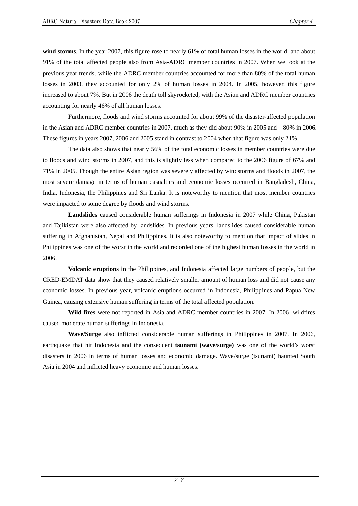**wind storms**. In the year 2007, this figure rose to nearly 61% of total human losses in the world, and about 91% of the total affected people also from Asia-ADRC member countries in 2007. When we look at the previous year trends, while the ADRC member countries accounted for more than 80% of the total human losses in 2003, they accounted for only 2% of human losses in 2004. In 2005, however, this figure increased to about 7%. But in 2006 the death toll skyrocketed, with the Asian and ADRC member countries accounting for nearly 46% of all human losses.

Furthermore, floods and wind storms accounted for about 99% of the disaster-affected population in the Asian and ADRC member countries in 2007, much as they did about 90% in 2005 and 80% in 2006. These figures in years 2007, 2006 and 2005 stand in contrast to 2004 when that figure was only 21%.

The data also shows that nearly 56% of the total economic losses in member countries were due to floods and wind storms in 2007, and this is slightly less when compared to the 2006 figure of 67% and 71% in 2005. Though the entire Asian region was severely affected by windstorms and floods in 2007, the most severe damage in terms of human casualties and economic losses occurred in Bangladesh, China, India, Indonesia, the Philippines and Sri Lanka. It is noteworthy to mention that most member countries were impacted to some degree by floods and wind storms.

**Landslides** caused considerable human sufferings in Indonesia in 2007 while China, Pakistan and Tajikistan were also affected by landslides. In previous years, landslides caused considerable human suffering in Afghanistan, Nepal and Philippines. It is also noteworthy to mention that impact of slides in Philippines was one of the worst in the world and recorded one of the highest human losses in the world in 2006.

**Volcanic eruptions** in the Philippines, and Indonesia affected large numbers of people, but the CRED-EMDAT data show that they caused relatively smaller amount of human loss and did not cause any economic losses. In previous year, volcanic eruptions occurred in Indonesia, Philippines and Papua New Guinea, causing extensive human suffering in terms of the total affected population.

**Wild fires** were not reported in Asia and ADRC member countries in 2007. In 2006, wildfires caused moderate human sufferings in Indonesia.

**Wave/Surge** also inflicted considerable human sufferings in Philippines in 2007. In 2006, earthquake that hit Indonesia and the consequent **tsunami (wave/surge)** was one of the world's worst disasters in 2006 in terms of human losses and economic damage. Wave/surge (tsunami) haunted South Asia in 2004 and inflicted heavy economic and human losses.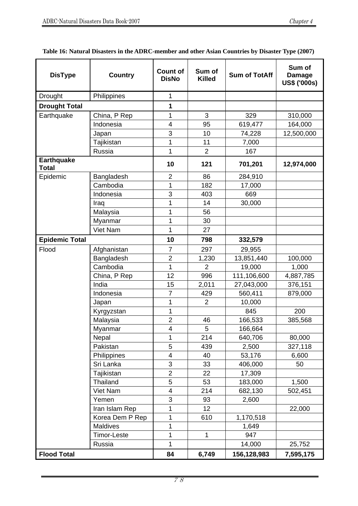| <b>DisType</b>                    | <b>Country</b>     | <b>Count of</b><br><b>DisNo</b> | Sum of<br><b>Killed</b> | <b>Sum of TotAff</b> | Sum of<br><b>Damage</b><br>US\$ ('000s) |
|-----------------------------------|--------------------|---------------------------------|-------------------------|----------------------|-----------------------------------------|
| Drought<br>Philippines            |                    | 1                               |                         |                      |                                         |
| <b>Drought Total</b>              |                    | 1                               |                         |                      |                                         |
| Earthquake                        | China, P Rep       | 1                               | 3                       | 329                  | 310,000                                 |
|                                   | Indonesia          | $\overline{\mathbf{4}}$         | 95                      | 619,477              | 164,000                                 |
|                                   | Japan              | 3                               | 10                      | 74,228               | 12,500,000                              |
|                                   | Tajikistan         | 1                               | 11                      | 7,000                |                                         |
|                                   | Russia             | 1                               | $\overline{2}$          | 167                  |                                         |
| <b>Earthquake</b><br><b>Total</b> |                    | 10                              | 121                     | 701,201              | 12,974,000                              |
| Epidemic                          | Bangladesh         | $\overline{2}$                  | 86                      | 284,910              |                                         |
|                                   | Cambodia           | 1                               | 182                     | 17,000               |                                         |
|                                   | Indonesia          | 3                               | 403                     | 669                  |                                         |
|                                   | Iraq               | 1                               | 14                      | 30,000               |                                         |
|                                   | Malaysia           | 1                               | 56                      |                      |                                         |
|                                   | Myanmar            | 1                               | 30                      |                      |                                         |
|                                   | Viet Nam           | 1                               | 27                      |                      |                                         |
| <b>Epidemic Total</b>             |                    | 10                              | 798                     | 332,579              |                                         |
| Flood                             | Afghanistan        | $\overline{7}$                  | 297                     | 29,955               |                                         |
|                                   | Bangladesh         | $\overline{2}$                  | 1,230                   | 13,851,440           | 100,000                                 |
|                                   | Cambodia           | 1                               | $\overline{2}$          | 19,000               | 1,000                                   |
|                                   | China, P Rep       | 12                              | 996                     | 111,106,600          | 4,887,785                               |
|                                   | India              | 15                              | 2,011                   | 27,043,000           | 376,151                                 |
|                                   | Indonesia          | $\overline{7}$                  | 429                     | 560,411              | 879,000                                 |
|                                   | Japan              | 1                               | $\overline{2}$          | 10,000               |                                         |
|                                   | Kyrgyzstan         | 1                               |                         | 845                  | 200                                     |
|                                   | Malaysia           | $\overline{2}$                  | 46                      | 166,533              | 385,568                                 |
|                                   | Myanmar            | $\overline{\mathbf{4}}$         | 5                       | 166,664              |                                         |
|                                   | Nepal              | 1                               | 214                     | 640,706              | 80,000                                  |
|                                   | Pakistan           | 5                               | 439                     | 2,500                | 327,118                                 |
|                                   | Philippines        | $\overline{\mathcal{A}}$        | 40                      | 53,176               | 6,600                                   |
|                                   | Sri Lanka          | 3                               | 33                      | 406,000              | 50                                      |
|                                   | Tajikistan         | $\overline{2}$                  | 22                      | 17,309               |                                         |
|                                   | Thailand           | 5                               | 53                      | 183,000              | 1,500                                   |
|                                   | Viet Nam           | $\overline{4}$                  | 214                     | 682,130              | 502,451                                 |
|                                   | Yemen              | 3                               | 93                      | 2,600                |                                         |
|                                   | Iran Islam Rep     | 1                               | 12                      |                      | 22,000                                  |
|                                   | Korea Dem P Rep    | 1                               | 610                     | 1,170,518            |                                         |
|                                   | Maldives           | 1                               |                         | 1,649                |                                         |
|                                   | <b>Timor-Leste</b> | 1                               | $\mathbf{1}$            | 947                  |                                         |
| Russia                            |                    | 1                               |                         | 14,000               | 25,752                                  |
| <b>Flood Total</b>                |                    | 84                              | 6,749                   | 156,128,983          | 7,595,175                               |

**Table 16: Natural Disasters in the ADRC-member and other Asian Countries by Disaster Type (2007)**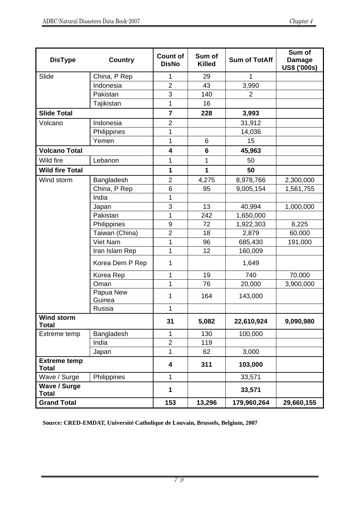| <b>DisType</b>                      | <b>Country</b>      | <b>Count of</b><br><b>DisNo</b> | Sum of<br><b>Killed</b> | <b>Sum of TotAff</b> | Sum of<br><b>Damage</b><br>US\$ ('000s) |
|-------------------------------------|---------------------|---------------------------------|-------------------------|----------------------|-----------------------------------------|
| Slide                               | China, P Rep        | 1                               | 29                      | 1                    |                                         |
|                                     | Indonesia           | $\overline{2}$                  | 43                      | 3,990                |                                         |
|                                     | Pakistan            | 3                               | 140                     | $\overline{2}$       |                                         |
|                                     | Tajikistan          | 1                               | 16                      |                      |                                         |
| <b>Slide Total</b>                  |                     | $\overline{7}$                  | 228                     | 3,993                |                                         |
| Volcano                             | Indonesia           | $\overline{2}$                  |                         | 31,912               |                                         |
|                                     | Philippines         | 1                               |                         | 14,036               |                                         |
|                                     | Yemen               | 1                               | 6                       | 15                   |                                         |
| <b>Volcano Total</b>                |                     | $\overline{\mathbf{4}}$         | $6\phantom{1}$          | 45,963               |                                         |
| Wild fire                           | Lebanon             | 1                               | 1                       | 50                   |                                         |
| <b>Wild fire Total</b>              |                     | $\mathbf{1}$                    | 1                       | 50                   |                                         |
| Wind storm                          | Bangladesh          | $\overline{2}$                  | 4,275                   | 8,978,766            | 2,300,000                               |
|                                     | China, P Rep        | 6                               | 95                      | 9,005,154            | 1,561,755                               |
|                                     | India               | 1                               |                         |                      |                                         |
|                                     | Japan               | 3                               | 13                      | 40,994               | 1,000,000                               |
|                                     | Pakistan            | 1                               | 242                     | 1,650,000            |                                         |
|                                     | Philippines         | 9                               | 72                      | 1,922,303            | 8,225                                   |
|                                     | Taiwan (China)      | $\overline{2}$                  | 18                      | 2,879                | 60,000                                  |
|                                     | Viet Nam            | 1                               | 96                      | 685,430              | 191,000                                 |
|                                     | Iran Islam Rep      | 1                               | 12                      | 160,009              |                                         |
|                                     | Korea Dem P Rep     | 1                               |                         | 1,649                |                                         |
|                                     | Korea Rep           | 1                               | 19                      | 740                  | 70,000                                  |
|                                     | Oman                | 1                               | 76                      | 20,000               | 3,900,000                               |
|                                     | Papua New<br>Guinea | 1                               | 164                     | 143,000              |                                         |
|                                     | Russia              | 1                               |                         |                      |                                         |
| <b>Wind storm</b><br><b>Total</b>   |                     | 31                              | 5,082                   | 22,610,924           | 9,090,980                               |
| Extreme temp                        | Bangladesh          | 1                               | 130                     | 100,000              |                                         |
|                                     | India               | $\overline{2}$                  | 119                     |                      |                                         |
|                                     | Japan               | 1                               | 62                      | 3,000                |                                         |
| <b>Extreme temp</b><br><b>Total</b> |                     | 4                               | 311                     | 103,000              |                                         |
| Wave / Surge                        | Philippines         | $\mathbf{1}$                    |                         | 33,571               |                                         |
| <b>Wave / Surge</b><br><b>Total</b> |                     | 1                               |                         | 33,571               |                                         |
| <b>Grand Total</b>                  |                     | 153                             | 13,296                  | 179,960,264          | 29,660,155                              |

**Source: CRED-EMDAT, Université Catholique de Louvain, Brussels, Belgium, 2007**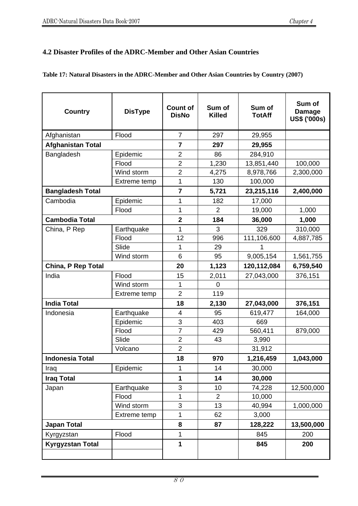## **4.2 Disaster Profiles of the ADRC-Member and Other Asian Countries**

#### **Table 17: Natural Disasters in the ADRC-Member and Other Asian Countries by Country (2007)**

| <b>Country</b>           | <b>DisType</b> | <b>Count of</b><br><b>DisNo</b> | Sum of<br><b>Killed</b> | Sum of<br><b>TotAff</b> | Sum of<br><b>Damage</b><br><b>US\$ ('000s)</b> |
|--------------------------|----------------|---------------------------------|-------------------------|-------------------------|------------------------------------------------|
| Afghanistan              | Flood          | $\overline{7}$                  | 297                     | 29,955                  |                                                |
| <b>Afghanistan Total</b> |                | 7                               | 297                     | 29,955                  |                                                |
| Bangladesh               | Epidemic       | $\overline{2}$                  | 86                      | 284,910                 |                                                |
|                          | Flood          | $\overline{2}$                  | 1,230                   | 13,851,440              | 100,000                                        |
|                          | Wind storm     | $\overline{c}$                  | 4,275                   | 8,978,766               | 2,300,000                                      |
|                          | Extreme temp   | 1                               | 130                     | 100,000                 |                                                |
| <b>Bangladesh Total</b>  |                | 7                               | 5,721                   | 23,215,116              | 2,400,000                                      |
| Cambodia                 | Epidemic       | 1                               | 182                     | 17,000                  |                                                |
|                          | Flood          | 1                               | $\overline{2}$          | 19,000                  | 1,000                                          |
| <b>Cambodia Total</b>    |                | $\overline{\mathbf{2}}$         | 184                     | 36,000                  | 1,000                                          |
| China, P Rep             | Earthquake     | 1                               | 3                       | 329                     | 310,000                                        |
|                          | Flood          | 12                              | 996                     | 111,106,600             | 4,887,785                                      |
|                          | Slide          | 1                               | 29                      | 1                       |                                                |
|                          | Wind storm     | 6                               | 95                      | 9,005,154               | 1,561,755                                      |
| China, P Rep Total       |                | 20                              | 1,123                   | 120,112,084             | 6,759,540                                      |
| India                    | Flood          | 15                              | 2,011                   | 27,043,000              | 376,151                                        |
|                          | Wind storm     | 1                               | 0                       |                         |                                                |
|                          | Extreme temp   | $\overline{2}$                  | 119                     |                         |                                                |
| <b>India Total</b>       |                | 18                              | 2,130                   | 27,043,000              | 376,151                                        |
| Indonesia                | Earthquake     | 4                               | 95                      | 619,477                 | 164,000                                        |
|                          | Epidemic       | 3                               | 403                     | 669                     |                                                |
|                          | Flood          | $\overline{7}$                  | 429                     | 560,411                 | 879,000                                        |
|                          | Slide          | $\overline{2}$                  | 43                      | 3,990                   |                                                |
|                          | Volcano        | $\overline{2}$                  |                         | 31,912                  |                                                |
| <b>Indonesia Total</b>   |                | 18                              | 970                     | 1,216,459               | 1,043,000                                      |
| Iraq                     | Epidemic       | 1                               | 14                      | 30,000                  |                                                |
| <b>Iraq Total</b>        |                | $\mathbf{1}$                    | 14                      | 30,000                  |                                                |
| Japan                    | Earthquake     | 3                               | 10                      | 74,228                  | 12,500,000                                     |
|                          | Flood          | 1                               | $\overline{2}$          | 10,000                  |                                                |
|                          | Wind storm     | 3                               | 13                      | 40,994                  | 1,000,000                                      |
|                          | Extreme temp   | 1                               | 62                      | 3,000                   |                                                |
| <b>Japan Total</b>       |                | 8                               | 87                      | 128,222                 | 13,500,000                                     |
| Kyrgyzstan               | Flood          | 1                               |                         | 845                     | 200                                            |
| <b>Kyrgyzstan Total</b>  |                | 1                               |                         | 845                     | 200                                            |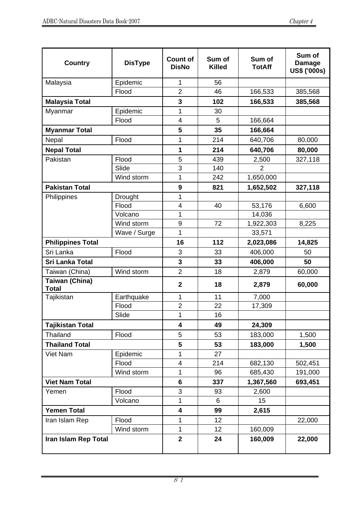| <b>Country</b>                        | <b>DisType</b> | <b>Count of</b><br><b>DisNo</b> | Sum of<br><b>Killed</b> | Sum of<br><b>TotAff</b> | Sum of<br><b>Damage</b><br>US\$ ('000s) |
|---------------------------------------|----------------|---------------------------------|-------------------------|-------------------------|-----------------------------------------|
| Malaysia                              | Epidemic       | 1                               | 56                      |                         |                                         |
|                                       | Flood          | $\overline{2}$                  | 46                      | 166,533                 | 385,568                                 |
| <b>Malaysia Total</b>                 |                | 3                               | 102                     | 166,533                 | 385,568                                 |
| Myanmar                               | Epidemic       | 1                               | 30                      |                         |                                         |
|                                       | Flood          | $\overline{4}$                  | 5                       | 166,664                 |                                         |
| <b>Myanmar Total</b>                  |                | 5                               | 35                      | 166,664                 |                                         |
| Flood<br>Nepal                        |                | 1                               | 214                     | 640,706                 | 80,000                                  |
| <b>Nepal Total</b>                    |                | 1                               | 214                     | 640,706                 | 80,000                                  |
| Pakistan                              | Flood          | 5                               | 439                     | 2,500                   | 327,118                                 |
|                                       | Slide          | 3                               | 140                     | $\overline{2}$          |                                         |
|                                       | Wind storm     | 1                               | 242                     | 1,650,000               |                                         |
| <b>Pakistan Total</b>                 |                | 9                               | 821                     | 1,652,502               | 327,118                                 |
| Philippines                           | Drought        | 1                               |                         |                         |                                         |
|                                       | Flood          | $\overline{\mathbf{4}}$         | 40                      | 53,176                  | 6,600                                   |
|                                       | Volcano        | 1                               |                         | 14,036                  |                                         |
|                                       | Wind storm     | 9                               | 72                      | 1,922,303               | 8,225                                   |
|                                       | Wave / Surge   | 1                               |                         | 33,571                  |                                         |
| <b>Philippines Total</b>              |                | 16                              | 112                     | 2,023,086               | 14,825                                  |
| Flood<br>Sri Lanka                    |                | 3                               | 33                      | 406,000                 | 50                                      |
| Sri Lanka Total                       |                | 3                               | 33                      | 406,000                 | 50                                      |
| Taiwan (China)                        | Wind storm     | $\overline{2}$                  | 18                      | 2,879                   | 60,000                                  |
| <b>Taiwan (China)</b><br><b>Total</b> |                | $\mathbf{2}$                    | 18                      | 2,879                   | 60,000                                  |
| Tajikistan                            | Earthquake     | 1                               | 11                      | 7,000                   |                                         |
|                                       | Flood          | $\overline{\mathbf{c}}$         | 22                      | 17,309                  |                                         |
|                                       | Slide          | 1                               | 16                      |                         |                                         |
| <b>Tajikistan Total</b>               |                | 4                               | 49                      | 24,309                  |                                         |
| Thailand                              | Flood          | 5                               | 53                      | 183,000                 | 1,500                                   |
| <b>Thailand Total</b>                 |                | 5                               | 53                      | 183,000                 | 1,500                                   |
| Viet Nam                              | Epidemic       | 1                               | 27                      |                         |                                         |
|                                       | Flood          | $\overline{\mathcal{A}}$        | 214                     | 682,130                 | 502,451                                 |
|                                       | Wind storm     | 1                               | 96                      | 685,430                 | 191,000                                 |
| <b>Viet Nam Total</b>                 |                | 6                               | 337                     | 1,367,560               | 693,451                                 |
| Yemen                                 | Flood          | 3                               | 93                      | 2,600                   |                                         |
|                                       | Volcano        | 1                               | 6                       | 15                      |                                         |
| <b>Yemen Total</b>                    |                | $\overline{\mathbf{4}}$         | 99                      | 2,615                   |                                         |
| Iran Islam Rep                        | Flood          | 1                               | 12                      |                         | 22,000                                  |
|                                       | Wind storm     | $\mathbf{1}$                    | 12                      | 160,009                 |                                         |
| <b>Iran Islam Rep Total</b>           |                | $\mathbf{2}$                    | 24                      | 160,009                 | 22,000                                  |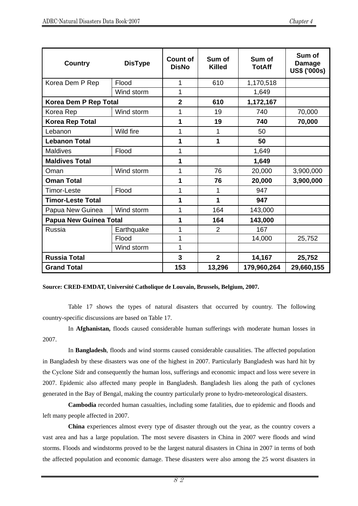| <b>Country</b>                | <b>DisType</b> | <b>Count of</b><br><b>DisNo</b> | Sum of<br><b>Killed</b> | Sum of<br><b>TotAff</b> | Sum of<br><b>Damage</b><br><b>US\$ ('000s)</b> |
|-------------------------------|----------------|---------------------------------|-------------------------|-------------------------|------------------------------------------------|
| Korea Dem P Rep               | Flood          | 1                               | 610                     | 1,170,518               |                                                |
|                               | Wind storm     | 1                               |                         | 1,649                   |                                                |
| Korea Dem P Rep Total         |                | $\overline{2}$                  | 610                     | 1,172,167               |                                                |
| Korea Rep                     | Wind storm     | 1                               | 19                      | 740                     | 70,000                                         |
| <b>Korea Rep Total</b>        |                | 1                               | 19                      | 740                     | 70,000                                         |
| Lebanon                       | Wild fire      | 1                               | 1                       | 50                      |                                                |
| <b>Lebanon Total</b>          |                | 1                               | 1                       | 50                      |                                                |
| <b>Maldives</b>               | Flood          | 1                               |                         | 1,649                   |                                                |
| <b>Maldives Total</b>         |                | 1                               |                         | 1,649                   |                                                |
| Oman                          | Wind storm     | 1                               | 76                      | 20,000                  | 3,900,000                                      |
| <b>Oman Total</b>             |                | 1                               | 76                      | 20,000                  | 3,900,000                                      |
| <b>Timor-Leste</b>            | Flood          | 1                               | 1                       | 947                     |                                                |
| <b>Timor-Leste Total</b>      |                | 1                               | 1                       | 947                     |                                                |
| Papua New Guinea              | Wind storm     | 1                               | 164                     | 143,000                 |                                                |
| <b>Papua New Guinea Total</b> |                | 1                               | 164                     | 143,000                 |                                                |
| <b>Russia</b>                 | Earthquake     | 1                               | $\overline{2}$          | 167                     |                                                |
|                               | Flood          | 1                               |                         | 14,000                  | 25,752                                         |
|                               | Wind storm     | 1                               |                         |                         |                                                |
| <b>Russia Total</b>           |                | 3                               | $\overline{2}$          | 14,167                  | 25,752                                         |
| <b>Grand Total</b>            |                | 153                             | 13,296                  | 179,960,264             | 29,660,155                                     |

#### **Source: CRED-EMDAT, Université Catholique de Louvain, Brussels, Belgium, 2007.**

Table 17 shows the types of natural disasters that occurred by country. The following country-specific discussions are based on Table 17.

In **Afghanistan,** floods caused considerable human sufferings with moderate human losses in 2007.

In **Bangladesh**, floods and wind storms caused considerable causalities. The affected population in Bangladesh by these disasters was one of the highest in 2007. Particularly Bangladesh was hard hit by the Cyclone Sidr and consequently the human loss, sufferings and economic impact and loss were severe in 2007. Epidemic also affected many people in Bangladesh. Bangladesh lies along the path of cyclones generated in the Bay of Bengal, making the country particularly prone to hydro-meteorological disasters.

**Cambodia** recorded human casualties, including some fatalities, due to epidemic and floods and left many people affected in 2007.

**China** experiences almost every type of disaster through out the year, as the country covers a vast area and has a large population. The most severe disasters in China in 2007 were floods and wind storms. Floods and windstorms proved to be the largest natural disasters in China in 2007 in terms of both the affected population and economic damage. These disasters were also among the 25 worst disasters in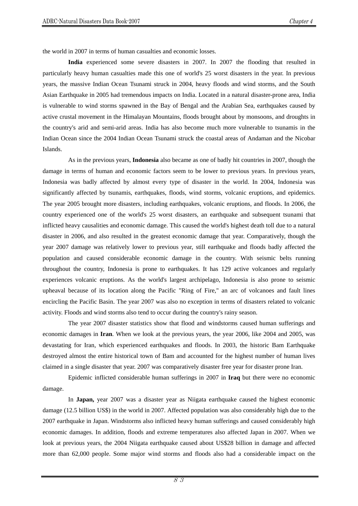the world in 2007 in terms of human casualties and economic losses.

**India** experienced some severe disasters in 2007. In 2007 the flooding that resulted in particularly heavy human casualties made this one of world's 25 worst disasters in the year. In previous years, the massive Indian Ocean Tsunami struck in 2004, heavy floods and wind storms, and the South Asian Earthquake in 2005 had tremendous impacts on India. Located in a natural disaster-prone area, India is vulnerable to wind storms spawned in the Bay of Bengal and the Arabian Sea, earthquakes caused by active crustal movement in the Himalayan Mountains, floods brought about by monsoons, and droughts in the country's arid and semi-arid areas. India has also become much more vulnerable to tsunamis in the Indian Ocean since the 2004 Indian Ocean Tsunami struck the coastal areas of Andaman and the Nicobar Islands.

As in the previous years, **Indonesia** also became as one of badly hit countries in 2007, though the damage in terms of human and economic factors seem to be lower to previous years. In previous years, Indonesia was badly affected by almost every type of disaster in the world. In 2004, Indonesia was significantly affected by tsunamis, earthquakes, floods, wind storms, volcanic eruptions, and epidemics. The year 2005 brought more disasters, including earthquakes, volcanic eruptions, and floods. In 2006, the country experienced one of the world's 25 worst disasters, an earthquake and subsequent tsunami that inflicted heavy causalities and economic damage. This caused the world's highest death toll due to a natural disaster in 2006, and also resulted in the greatest economic damage that year. Comparatively, though the year 2007 damage was relatively lower to previous year, still earthquake and floods badly affected the population and caused considerable economic damage in the country. With seismic belts running throughout the country, Indonesia is prone to earthquakes. It has 129 active volcanoes and regularly experiences volcanic eruptions. As the world's largest archipelago, Indonesia is also prone to seismic upheaval because of its location along the Pacific "Ring of Fire," an arc of volcanoes and fault lines encircling the Pacific Basin. The year 2007 was also no exception in terms of disasters related to volcanic activity. Floods and wind storms also tend to occur during the country's rainy season.

The year 2007 disaster statistics show that flood and windstorms caused human sufferings and economic damages in **Iran**. When we look at the previous years, the year 2006, like 2004 and 2005, was devastating for Iran, which experienced earthquakes and floods. In 2003, the historic Bam Earthquake destroyed almost the entire historical town of Bam and accounted for the highest number of human lives claimed in a single disaster that year. 2007 was comparatively disaster free year for disaster prone Iran.

Epidemic inflicted considerable human sufferings in 2007 in **Iraq** but there were no economic damage.

In **Japan,** year 2007 was a disaster year as Niigata earthquake caused the highest economic damage (12.5 billion US\$) in the world in 2007. Affected population was also considerably high due to the 2007 earthquake in Japan. Windstorms also inflicted heavy human sufferings and caused considerably high economic damages. In addition, floods and extreme temperatures also affected Japan in 2007. When we look at previous years, the 2004 Niigata earthquake caused about US\$28 billion in damage and affected more than 62,000 people. Some major wind storms and floods also had a considerable impact on the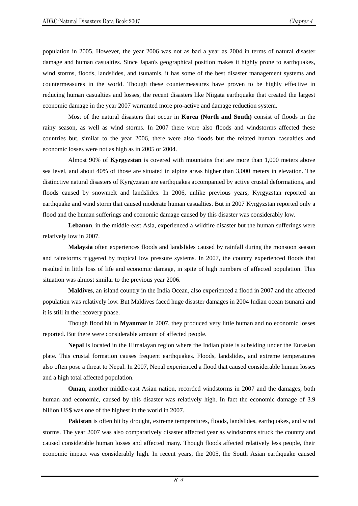population in 2005. However, the year 2006 was not as bad a year as 2004 in terms of natural disaster damage and human casualties. Since Japan's geographical position makes it highly prone to earthquakes, wind storms, floods, landslides, and tsunamis, it has some of the best disaster management systems and countermeasures in the world. Though these countermeasures have proven to be highly effective in reducing human casualties and losses, the recent disasters like Niigata earthquake that created the largest economic damage in the year 2007 warranted more pro-active and damage reduction system.

Most of the natural disasters that occur in **Korea (North and South)** consist of floods in the rainy season, as well as wind storms. In 2007 there were also floods and windstorms affected these countries but, similar to the year 2006, there were also floods but the related human casualties and economic losses were not as high as in 2005 or 2004.

Almost 90% of **Kyrgyzstan** is covered with mountains that are more than 1,000 meters above sea level, and about 40% of those are situated in alpine areas higher than 3,000 meters in elevation. The distinctive natural disasters of Kyrgyzstan are earthquakes accompanied by active crustal deformations, and floods caused by snowmelt and landslides. In 2006, unlike previous years, Kyrgyzstan reported an earthquake and wind storm that caused moderate human casualties. But in 2007 Kyrgyzstan reported only a flood and the human sufferings and economic damage caused by this disaster was considerably low.

**Lebanon**, in the middle-east Asia, experienced a wildfire disaster but the human sufferings were relatively low in 2007.

**Malaysia** often experiences floods and landslides caused by rainfall during the monsoon season and rainstorms triggered by tropical low pressure systems. In 2007, the country experienced floods that resulted in little loss of life and economic damage, in spite of high numbers of affected population. This situation was almost similar to the previous year 2006.

**Maldives**, an island country in the India Ocean, also experienced a flood in 2007 and the affected population was relatively low. But Maldives faced huge disaster damages in 2004 Indian ocean tsunami and it is still in the recovery phase.

Though flood hit in **Myanmar** in 2007, they produced very little human and no economic losses reported. But there were considerable amount of affected people.

**Nepal** is located in the Himalayan region where the Indian plate is subsiding under the Eurasian plate. This crustal formation causes frequent earthquakes. Floods, landslides, and extreme temperatures also often pose a threat to Nepal. In 2007, Nepal experienced a flood that caused considerable human losses and a high total affected population.

**Oman**, another middle-east Asian nation, recorded windstorms in 2007 and the damages, both human and economic, caused by this disaster was relatively high. In fact the economic damage of 3.9 billion US\$ was one of the highest in the world in 2007.

**Pakistan** is often hit by drought, extreme temperatures, floods, landslides, earthquakes, and wind storms. The year 2007 was also comparatively disaster affected year as windstorms struck the country and caused considerable human losses and affected many. Though floods affected relatively less people, their economic impact was considerably high. In recent years, the 2005, the South Asian earthquake caused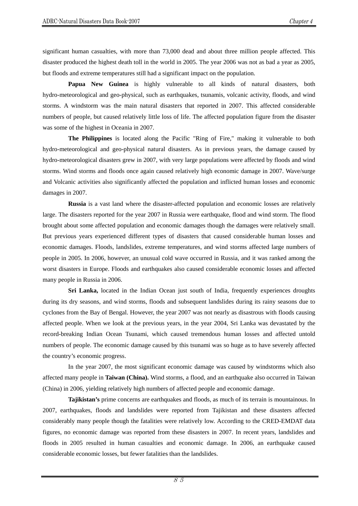significant human casualties, with more than 73,000 dead and about three million people affected. This disaster produced the highest death toll in the world in 2005. The year 2006 was not as bad a year as 2005, but floods and extreme temperatures still had a significant impact on the population.

**Papua New Guinea** is highly vulnerable to all kinds of natural disasters, both hydro-meteorological and geo-physical, such as earthquakes, tsunamis, volcanic activity, floods, and wind storms. A windstorm was the main natural disasters that reported in 2007. This affected considerable numbers of people, but caused relatively little loss of life. The affected population figure from the disaster was some of the highest in Oceania in 2007.

**The Philippines** is located along the Pacific "Ring of Fire," making it vulnerable to both hydro-meteorological and geo-physical natural disasters. As in previous years, the damage caused by hydro-meteorological disasters grew in 2007, with very large populations were affected by floods and wind storms. Wind storms and floods once again caused relatively high economic damage in 2007. Wave/surge and Volcanic activities also significantly affected the population and inflicted human losses and economic damages in 2007.

**Russia** is a vast land where the disaster-affected population and economic losses are relatively large. The disasters reported for the year 2007 in Russia were earthquake, flood and wind storm. The flood brought about some affected population and economic damages though the damages were relatively small. But previous years experienced different types of disasters that caused considerable human losses and economic damages. Floods, landslides, extreme temperatures, and wind storms affected large numbers of people in 2005. In 2006, however, an unusual cold wave occurred in Russia, and it was ranked among the worst disasters in Europe. Floods and earthquakes also caused considerable economic losses and affected many people in Russia in 2006.

**Sri Lanka,** located in the Indian Ocean just south of India, frequently experiences droughts during its dry seasons, and wind storms, floods and subsequent landslides during its rainy seasons due to cyclones from the Bay of Bengal. However, the year 2007 was not nearly as disastrous with floods causing affected people. When we look at the previous years, in the year 2004, Sri Lanka was devastated by the record-breaking Indian Ocean Tsunami, which caused tremendous human losses and affected untold numbers of people. The economic damage caused by this tsunami was so huge as to have severely affected the country's economic progress.

In the year 2007, the most significant economic damage was caused by windstorms which also affected many people in **Taiwan (China).** Wind storms, a flood, and an earthquake also occurred in Taiwan (China) in 2006, yielding relatively high numbers of affected people and economic damage.

**Tajikistan's** prime concerns are earthquakes and floods, as much of its terrain is mountainous. In 2007, earthquakes, floods and landslides were reported from Tajikistan and these disasters affected considerably many people though the fatalities were relatively low. According to the CRED-EMDAT data figures, no economic damage was reported from these disasters in 2007. In recent years, landslides and floods in 2005 resulted in human casualties and economic damage. In 2006, an earthquake caused considerable economic losses, but fewer fatalities than the landslides.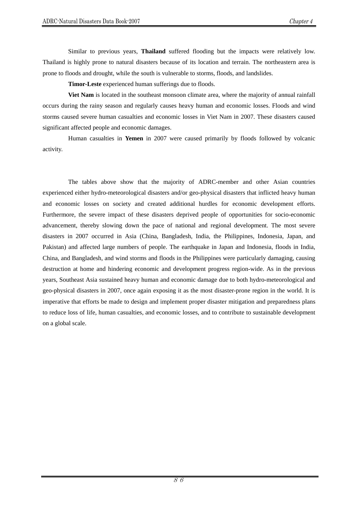Similar to previous years, **Thailand** suffered flooding but the impacts were relatively low. Thailand is highly prone to natural disasters because of its location and terrain. The northeastern area is prone to floods and drought, while the south is vulnerable to storms, floods, and landslides.

**Timor-Leste** experienced human sufferings due to floods.

**Viet Nam** is located in the southeast monsoon climate area, where the majority of annual rainfall occurs during the rainy season and regularly causes heavy human and economic losses. Floods and wind storms caused severe human casualties and economic losses in Viet Nam in 2007. These disasters caused significant affected people and economic damages.

Human casualties in **Yemen** in 2007 were caused primarily by floods followed by volcanic activity.

The tables above show that the majority of ADRC-member and other Asian countries experienced either hydro-meteorological disasters and/or geo-physical disasters that inflicted heavy human and economic losses on society and created additional hurdles for economic development efforts. Furthermore, the severe impact of these disasters deprived people of opportunities for socio-economic advancement, thereby slowing down the pace of national and regional development. The most severe disasters in 2007 occurred in Asia (China, Bangladesh, India, the Philippines, Indonesia, Japan, and Pakistan) and affected large numbers of people. The earthquake in Japan and Indonesia, floods in India, China, and Bangladesh, and wind storms and floods in the Philippines were particularly damaging, causing destruction at home and hindering economic and development progress region-wide. As in the previous years, Southeast Asia sustained heavy human and economic damage due to both hydro-meteorological and geo-physical disasters in 2007, once again exposing it as the most disaster-prone region in the world. It is imperative that efforts be made to design and implement proper disaster mitigation and preparedness plans to reduce loss of life, human casualties, and economic losses, and to contribute to sustainable development on a global scale.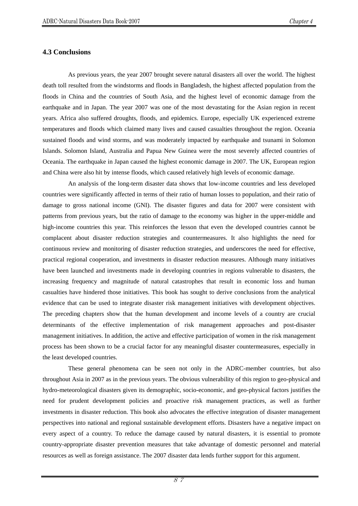#### **4.3 Conclusions**

As previous years, the year 2007 brought severe natural disasters all over the world. The highest death toll resulted from the windstorms and floods in Bangladesh, the highest affected population from the floods in China and the countries of South Asia, and the highest level of economic damage from the earthquake and in Japan. The year 2007 was one of the most devastating for the Asian region in recent years. Africa also suffered droughts, floods, and epidemics. Europe, especially UK experienced extreme temperatures and floods which claimed many lives and caused casualties throughout the region. Oceania sustained floods and wind storms, and was moderately impacted by earthquake and tsunami in Solomon Islands. Solomon Island, Australia and Papua New Guinea were the most severely affected countries of Oceania. The earthquake in Japan caused the highest economic damage in 2007. The UK, European region and China were also hit by intense floods, which caused relatively high levels of economic damage.

An analysis of the long-term disaster data shows that low-income countries and less developed countries were significantly affected in terms of their ratio of human losses to population, and their ratio of damage to gross national income (GNI). The disaster figures and data for 2007 were consistent with patterns from previous years, but the ratio of damage to the economy was higher in the upper-middle and high-income countries this year. This reinforces the lesson that even the developed countries cannot be complacent about disaster reduction strategies and countermeasures. It also highlights the need for continuous review and monitoring of disaster reduction strategies, and underscores the need for effective, practical regional cooperation, and investments in disaster reduction measures. Although many initiatives have been launched and investments made in developing countries in regions vulnerable to disasters, the increasing frequency and magnitude of natural catastrophes that result in economic loss and human casualties have hindered those initiatives. This book has sought to derive conclusions from the analytical evidence that can be used to integrate disaster risk management initiatives with development objectives. The preceding chapters show that the human development and income levels of a country are crucial determinants of the effective implementation of risk management approaches and post-disaster management initiatives. In addition, the active and effective participation of women in the risk management process has been shown to be a crucial factor for any meaningful disaster countermeasures, especially in the least developed countries.

These general phenomena can be seen not only in the ADRC-member countries, but also throughout Asia in 2007 as in the previous years. The obvious vulnerability of this region to geo-physical and hydro-meteorological disasters given its demographic, socio-economic, and geo-physical factors justifies the need for prudent development policies and proactive risk management practices, as well as further investments in disaster reduction. This book also advocates the effective integration of disaster management perspectives into national and regional sustainable development efforts. Disasters have a negative impact on every aspect of a country. To reduce the damage caused by natural disasters, it is essential to promote country-appropriate disaster prevention measures that take advantage of domestic personnel and material resources as well as foreign assistance. The 2007 disaster data lends further support for this argument.